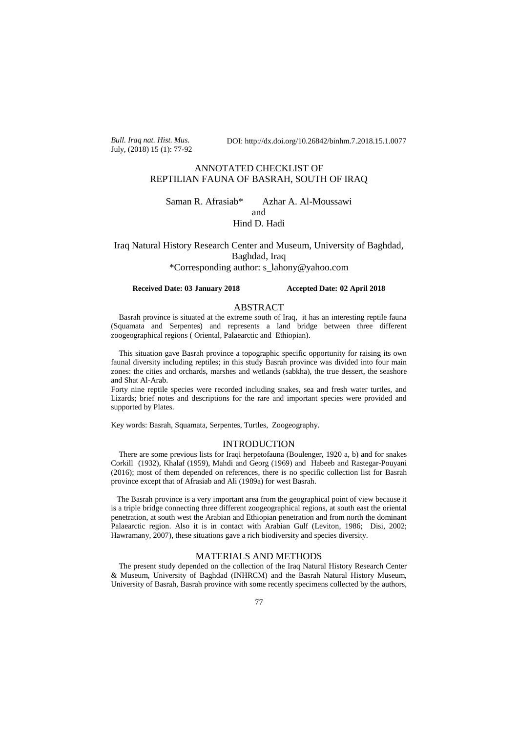*Bull. Iraq nat. Hist. Mus.* July, (2018) 15 (1): 77-92 DOI: http://dx.doi.org/10.26842/binhm.7.2018.15.1.0077

# ANNOTATED CHECKLIST OF REPTILIAN FAUNA OF BASRAH, SOUTH OF IRAQ

Saman R. Afrasiab\* Azhar A. Al-Moussawi and Hind D. Hadi

Iraq Natural History Research Center and Museum, University of Baghdad, Baghdad, Iraq \*Corresponding author: s\_lahony@yahoo.com

## **Received Date: 03 January 2018 Accepted Date: 02 April 2018**

# ABSTRACT

 Basrah province is situated at the extreme south of Iraq, it has an interesting reptile fauna (Squamata and Serpentes) and represents a land bridge between three different zoogeographical regions ( Oriental, Palaearctic and Ethiopian).

 This situation gave Basrah province a topographic specific opportunity for raising its own faunal diversity including reptiles; in this study Basrah province was divided into four main zones: the cities and orchards, marshes and wetlands (sabkha), the true dessert, the seashore and Shat Al-Arab.

Forty nine reptile species were recorded including snakes, sea and fresh water turtles, and Lizards; brief notes and descriptions for the rare and important species were provided and supported by Plates.

Key words: Basrah, Squamata, Serpentes, Turtles, Zoogeography.

#### **INTRODUCTION**

 There are some previous lists for Iraqi herpetofauna (Boulenger, 1920 a, b) and for snakes Corkill (1932), Khalaf (1959), Mahdi and Georg (1969) and Habeeb and Rastegar-Pouyani (2016); most of them depended on references, there is no specific collection list for Basrah province except that of Afrasiab and Ali (1989a) for west Basrah.

 The Basrah province is a very important area from the geographical point of view because it is a triple bridge connecting three different zoogeographical regions, at south east the oriental penetration, at south west the Arabian and Ethiopian penetration and from north the dominant Palaearctic region. Also it is in contact with Arabian Gulf (Leviton, 1986; Disi, 2002; Hawramany, 2007), these situations gave a rich biodiversity and species diversity.

# MATERIALS AND METHODS

 The present study depended on the collection of the Iraq Natural History Research Center & Museum, University of Baghdad (INHRCM) and the Basrah Natural History Museum, University of Basrah, Basrah province with some recently specimens collected by the authors,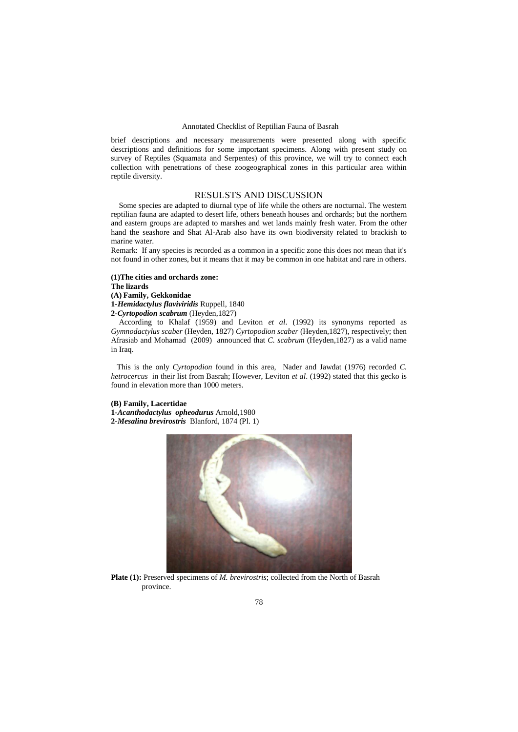brief descriptions and necessary measurements were presented along with specific descriptions and definitions for some important specimens. Along with present study on survey of Reptiles (Squamata and Serpentes) of this province, we will try to connect each collection with penetrations of these zoogeographical zones in this particular area within reptile diversity.

# RESULSTS AND DISCUSSION

 Some species are adapted to diurnal type of life while the others are nocturnal. The western reptilian fauna are adapted to desert life, others beneath houses and orchards; but the northern and eastern groups are adapted to marshes and wet lands mainly fresh water. From the other hand the seashore and Shat Al-Arab also have its own biodiversity related to brackish to marine water.

Remark: If any species is recorded as a common in a specific zone this does not mean that it's not found in other zones, but it means that it may be common in one habitat and rare in others.

**(1)The cities and orchards zone: The lizards (A) Family, Gekkonidae 1-***Hemidactylus flaviviridis* Ruppell, 1840 **2***-Cyrtopodion scabrum* (Heyden,1827)

 According to Khalaf (1959) and Leviton *et al*. (1992) its synonyms reported as *Gymnodactylus scaber* (Heyden, 1827) *Cyrtopodion scaber* (Heyden,1827), respectively; then Afrasiab and Mohamad (2009) announced that *C. scabrum* (Heyden,1827) as a valid name in Iraq.

 This is the only *Cyrtopodion* found in this area, Nader and Jawdat (1976) recorded *C. hetrocercus* in their list from Basrah; However, Leviton *et al*. (1992) stated that this gecko is found in elevation more than 1000 meters.

## **(B) Family, Lacertidae**

**1-***Acanthodactylus**opheodurus* Arnold,1980 **2-***Mesalina brevirostris* Blanford, 1874 (Pl. 1)



**Plate (1):** Preserved specimens of *M. brevirostris*; collected from the North of Basrah province.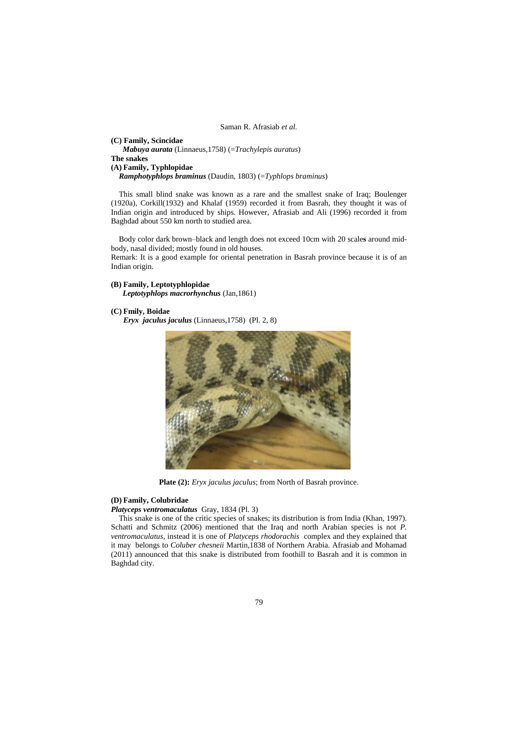**(C) Family, Scincidae** *Mabuya aurata* (Linnaeus,1758) (=*Trachylepis auratus*) **The snakes (A) Family, Typhlopidae**   *Ramphotyphlops braminus* (Daudin, 1803) (=*Typhlops braminus*)

This small blind snake was known as a rare and the smallest snake of Iraq; Boulenger (1920a), Corkill(1932) and Khalaf (1959) recorded it from Basrah, they thought it was of Indian origin and introduced by ships. However, Afrasiab and Ali (1996) recorded it from Baghdad about 550 km north to studied area.

 Body color dark brown–black and length does not exceed 10cm with 20 scale**s** around midbody, nasal divided; mostly found in old houses.

Remark: It is a good example for oriental penetration in Basrah province because it is of an Indian origin.

#### **(B) Family, Leptotyphlopidae**

 *Leptotyphlops macrorhynchus* (Jan,1861)

#### **(C) Fmily, Boidae**

*Eryx jaculus jaculus* (Linnaeus,1758) (Pl. 2, 8)



**Plate (2):** *Eryx jaculus jaculus*; from North of Basrah province.

# **(D) Family, Colubridae**

*Platyceps ventromaculatus* Gray, 1834 (Pl. 3)

This snake is one of the critic species of snakes; its distribution is from India (Khan, 1997). Schatti and Schmitz (2006) mentioned that the Iraq and north Arabian species is not *P. ventromaculatus,* instead it is one of *Platyceps rhodorachis* complex and they explained that it may belongs to *Coluber chesneii* Martin,1838 of Northern Arabia. Afrasiab and Mohamad (2011) announced that this snake is distributed from foothill to Basrah and it is common in Baghdad city.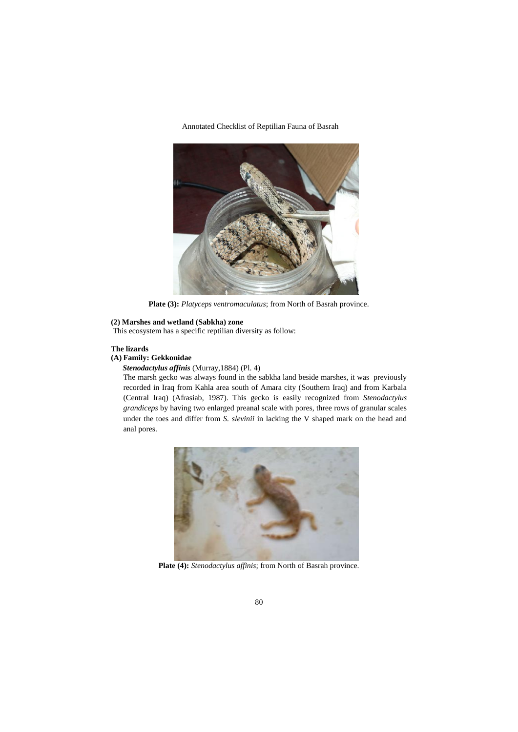

**Plate (3):** *Platyceps ventromaculatus*; from North of Basrah province.

# **(2) Marshes and wetland (Sabkha) zone**

This ecosystem has a specific reptilian diversity as follow:

# **The lizards**

# **(A) Family: Gekkonidae**

*Stenodactylus affinis* (Murray,1884) (Pl. 4)

The marsh gecko was always found in the sabkha land beside marshes, it was previously recorded in Iraq from Kahla area south of Amara city (Southern Iraq) and from Karbala (Central Iraq) (Afrasiab, 1987). This gecko is easily recognized from *Stenodactylus grandiceps* by having two enlarged preanal scale with pores, three rows of granular scales under the toes and differ from *S. slevinii* in lacking the V shaped mark on the head and anal pores.



**Plate (4):** *Stenodactylus affinis*; from North of Basrah province.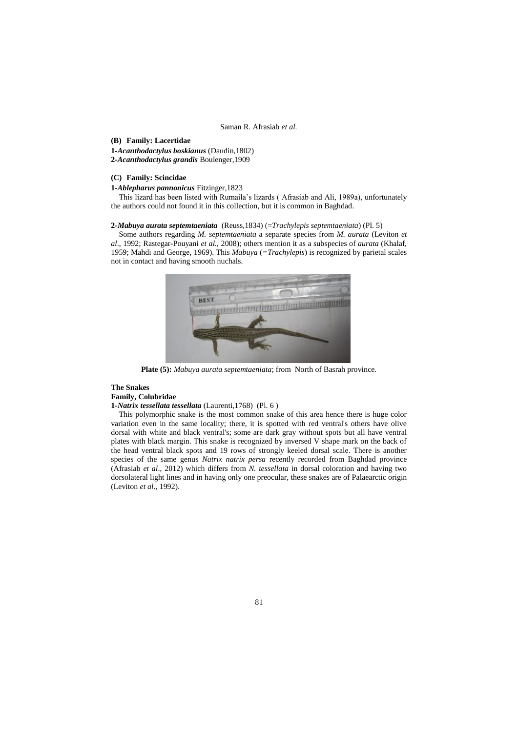## **(B) Family: Lacertidae**

**1-***Acanthodactylus boskianus* (Daudin,1802) **2-***Acanthodactylus grandis* Boulenger,1909

## **(C) Family: Scincidae**

**1-***Ablepharus pannonicus* Fitzinger,1823

 This lizard has been listed with Rumaila's lizards ( Afrasiab and Ali, 1989a), unfortunately the authors could not found it in this collection, but it is common in Baghdad.

## **2-***Mabuya aurata septemtaeniata* (Reuss,1834) (=*Trachylepis septemtaeniata*) (Pl. 5)

 Some authors regarding *M. septemtaeniata* a separate species from *M. aurata* (Leviton *et al*., 1992; Rastegar-Pouyani *et al.*, 2008); others mention it as a subspecies of *aurata* (Khalaf, 1959; Mahdi and George, 1969). This *Mabuya* (*=Trachylepis*) is recognized by parietal scales not in contact and having smooth nuchals.



**Plate (5):** *Mabuya aurata septemtaeniata*; from North of Basrah province.

#### **The Snakes Family, Colubridae**

## **1-***Natrix tessellata tessellata* (Laurenti,1768) (Pl. 6 )

 This polymorphic snake is the most common snake of this area hence there is huge color variation even in the same locality; there, it is spotted with red ventral's others have olive dorsal with white and black ventral's; some are dark gray without spots but all have ventral plates with black margin. This snake is recognized by inversed V shape mark on the back of the head ventral black spots and 19 rows of strongly keeled dorsal scale. There is another species of the same genus *Natrix natrix persa* recently recorded from Baghdad province (Afrasiab *et al*., 2012) which differs from *N. tessellata* in dorsal coloration and having two dorsolateral light lines and in having only one preocular, these snakes are of Palaearctic origin (Leviton *et al*., 1992).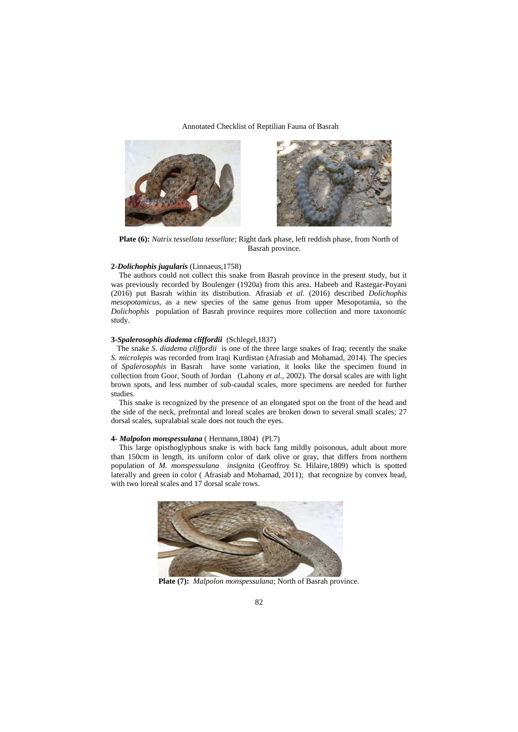



**Plate (6):** *Natrix tessellata tessellate*; Right dark phase, left reddish phase, from North of Basrah province.

#### **2-***Dolichophis jugularis* (Linnaeus,1758)

 The authors could not collect this snake from Basrah province in the present study, but it was previously recorded by Boulenger (1920a) from this area. Habeeb and Rastegar-Poyani (2016) put Basrah within its distribution. Afrasiab *et al.* (2016) described *Dolichophis mesopotamicus*, as a new species of the same genus from upper Mesopotamia, so the *Dolichophis* population of Basrah province requires more collection and more taxonomic study.

## **3-***Spalerosophis diadema cliffordii* (Schlegel,1837)

 The snake *S. diadema cliffordii* is one of the three large snakes of Iraq; recently the snake *S. microlepis* was recorded from Iraqi Kurdistan (Afrasiab and Mohamad, 2014). The species of *Spalerosophis* in Basrah have some variation, it looks like the specimen found in collection from Goor, South of Jordan (Lahony *et al*., 2002). The dorsal scales are with light brown spots, and less number of sub-caudal scales, more specimens are needed for further studies.

 This snake is recognized by the presence of an elongated spot on the front of the head and the side of the neck, prefrontal and loreal scales are broken down to several small scales; 27 dorsal scales, supralabial scale does not touch the eyes.

#### **4-** *Malpolon monspessulana* ( Hermann,1804) (Pl.7)

 This large opisthoglyphous snake is with back fang mildly poisonous, adult about more than 150cm in length, its uniform color of dark olive or gray, that differs from northern population of *M. monspessulana insignita* (Geoffroy St. Hilaire,1809) which is spotted laterally and green in color ( Afrasiab and Mohamad, 2011); that recognize by convex head, with two loreal scales and 17 dorsal scale rows.



**Plate (7):** *Malpolon monspessulana*; North of Basrah province.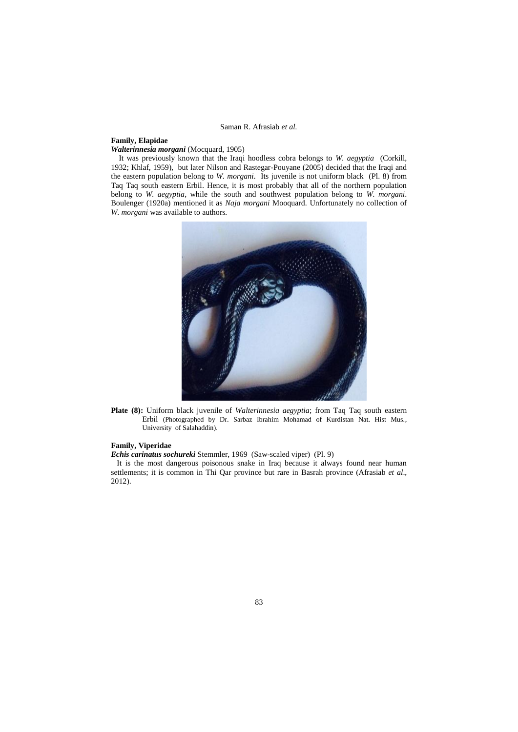# **Family, Elapidae**

*Walterinnesia morgani* (Mocquard, 1905)

 It was previously known that the Iraqi hoodless cobra belongs to *W. aegyptia* (Corkill, 1932; Khlaf, 1959), but later Nilson and Rastegar-Pouyane (2005) decided that the Iraqi and the eastern population belong to *W. morgani*.Its juvenile is not uniform black (Pl. 8) from Taq Taq south eastern Erbil. Hence, it is most probably that all of the northern population belong to *W. aegyptia*, while the south and southwest population belong to *W. morgani*. Boulenger (1920a) mentioned it as *Naja morgani* Mooquard. Unfortunately no collection of *W. morgani* was available to authors*.*



**Plate (8):** Uniform black juvenile of *Walterinnesia aegyptia*; from Taq Taq south eastern Erbil (Photographed by Dr. Sarbaz Ibrahim Mohamad of Kurdistan Nat. Hist Mus., University of Salahaddin).

## **Family, Viperidae**

*Echis carinatus sochureki* Stemmler, 1969 (Saw-scaled viper) (Pl. 9)

 It is the most dangerous poisonous snake in Iraq because it always found near human settlements; it is common in Thi Qar province but rare in Basrah province (Afrasiab *et al*., 2012).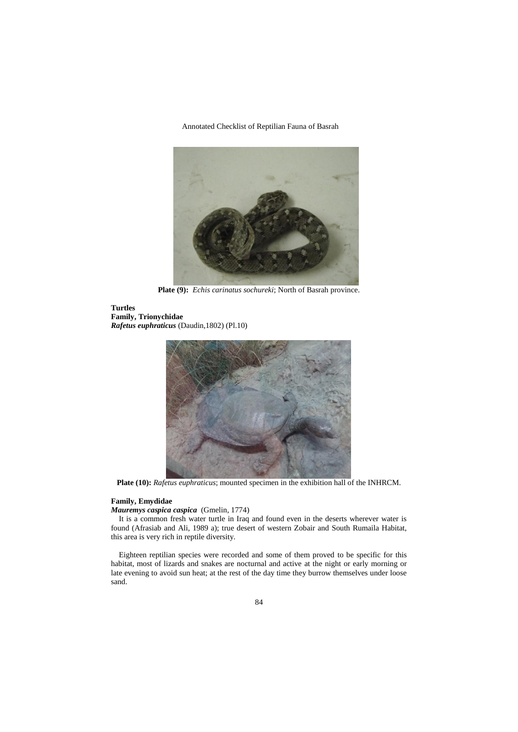

**Plate (9):** *Echis carinatus sochureki*; North of Basrah province.

**Turtles Family, Trionychidae**  *Rafetus euphraticus* (Daudin,1802) (Pl.10)



**Plate (10):** *Rafetus euphraticus*; mounted specimen in the exhibition hall of the INHRCM.

# **Family, Emydidae**

*Mauremys caspica caspica* (Gmelin, 1774)

 It is a common fresh water turtle in Iraq and found even in the deserts wherever water is found (Afrasiab and Ali, 1989 a); true desert of western Zobair and South Rumaila Habitat, this area is very rich in reptile diversity.

 Eighteen reptilian species were recorded and some of them proved to be specific for this habitat, most of lizards and snakes are nocturnal and active at the night or early morning or late evening to avoid sun heat; at the rest of the day time they burrow themselves under loose sand.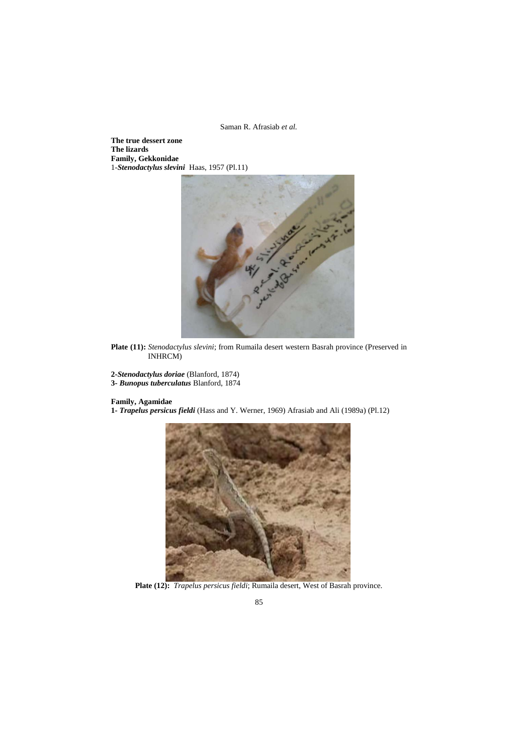**The true dessert zone The lizards Family, Gekkonidae**  1-*Stenodactylus slevini* Haas, 1957 (Pl.11)



**Plate (11):** *Stenodactylus slevini*; from Rumaila desert western Basrah province (Preserved in INHRCM)

**2-***Stenodactylus doriae* (Blanford, 1874) **3-** *Bunopus tuberculatus* Blanford, 1874

# **Family, Agamidae**

**1-** *Trapelus persicus fieldi* (Hass and Y. Werner, 1969) Afrasiab and Ali (1989a) (Pl.12)



**Plate (12):** *Trapelus persicus fieldi*; Rumaila desert, West of Basrah province.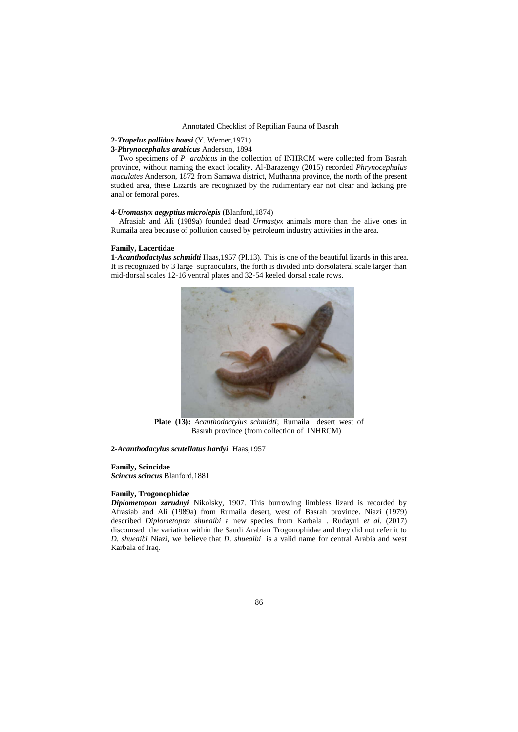## **2-***Trapelus pallidus haasi* (Y. Werner,1971)

# **3-***Phrynocephalus arabicus* Anderson, 1894

 Two specimens of *P. arabicus* in the collection of INHRCM were collected from Basrah province, without naming the exact locality. Al-Barazengy (2015) recorded *Phrynocephalus maculates* Anderson, 1872 from Samawa district, Muthanna province, the north of the present studied area, these Lizards are recognized by the rudimentary ear not clear and lacking pre anal or femoral pores.

## **4-***Uromastyx aegyptius microlepis* (Blanford,1874)

 Afrasiab and Ali (1989a) founded dead *Urmastyx* animals more than the alive ones in Rumaila area because of pollution caused by petroleum industry activities in the area.

#### **Family, Lacertidae**

**1-***Acanthodactylus schmidti* Haas,1957 (Pl.13). This is one of the beautiful lizards in this area. It is recognized by 3 large supraoculars, the forth is divided into dorsolateral scale larger than mid-dorsal scales 12-16 ventral plates and 32-54 keeled dorsal scale rows.



**Plate (13):** *Acanthodactylus schmidti*; Rumaila desert west of Basrah province (from collection of INHRCM)

**2-***Acanthodacylus scutellatus hardyi* Haas,1957

#### **Family, Scincidae**

*Scincus scincus* Blanford,1881

#### **Family, Trogonophidae**

*Diplometopon zarudnyi* Nikolsky, 1907. This burrowing limbless lizard is recorded by Afrasiab and Ali (1989a) from Rumaila desert, west of Basrah province. Niazi (1979) described *Diplometopon shueaibi* a new species from Karbala . Rudayni *et al*. (2017) discoursed the variation within the Saudi Arabian Trogonophidae and they did not refer it to *D. shueaibi* Niazi, we believe that *D. shueaibi* is a valid name for central Arabia and west Karbala of Iraq.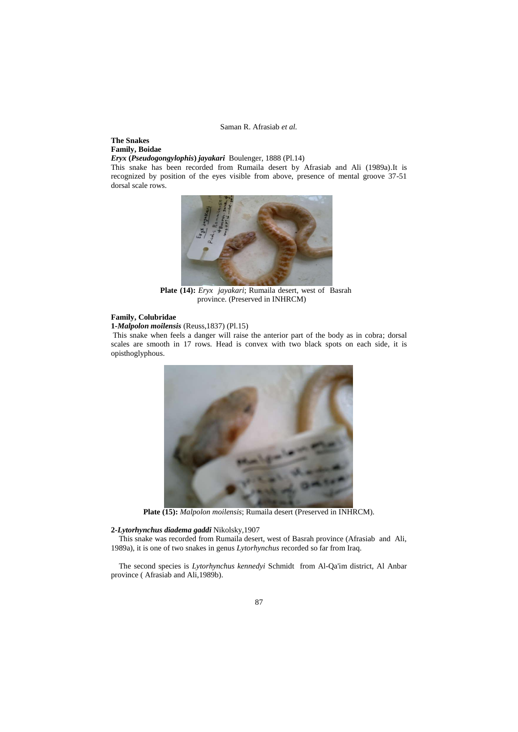# **The Snakes Family, Boidae**

*Eryx* **(***Pseudogongylophis***)** *jayakari* Boulenger, 1888 (Pl.14)

This snake has been recorded from Rumaila desert by Afrasiab and Ali (1989a).It is recognized by position of the eyes visible from above, presence of mental groove 37-51 dorsal scale rows.



**Plate (14):** *Eryx jayakari*; Rumaila desert, west of Basrah province. (Preserved in INHRCM)

## **Family, Colubridae**

**1-***Malpolon moilensis* (Reuss,1837) (Pl.15)

This snake when feels a danger will raise the anterior part of the body as in cobra; dorsal scales are smooth in 17 rows. Head is convex with two black spots on each side, it is opisthoglyphous.



**Plate (15):** *Malpolon moilensis*; Rumaila desert (Preserved in INHRCM).

# **2-***Lytorhynchus diadema gaddi* Nikolsky,1907

This snake was recorded from Rumaila desert, west of Basrah province (Afrasiab and Ali, 1989a), it is one of two snakes in genus *Lytorhynchus* recorded so far from Iraq.

 The second species is *Lytorhynchus kennedyi* Schmidt from Al-Qa'im district, Al Anbar province ( Afrasiab and Ali,1989b).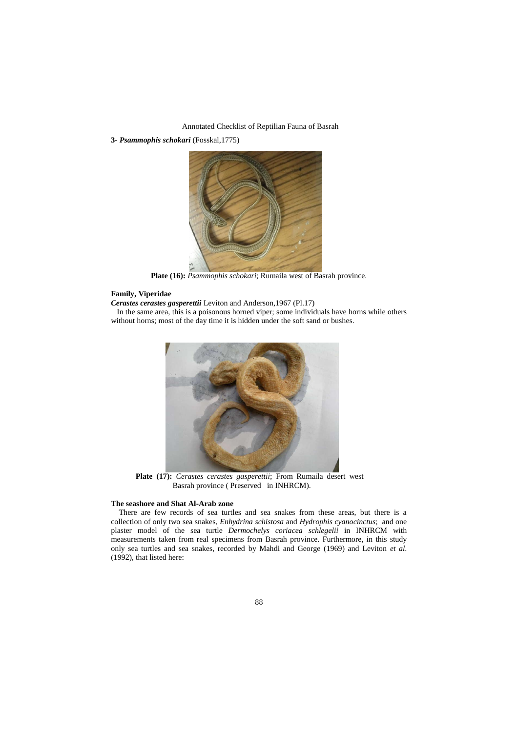**3-** *Psammophis schokari* (Fosskal,1775)



**Plate (16):** *Psammophis schokari*; Rumaila west of Basrah province.

## **Family, Viperidae**

*Cerastes cerastes gasperettii* Leviton and Anderson,1967 (Pl.17)

 In the same area, this is a poisonous horned viper; some individuals have horns while others without horns; most of the day time it is hidden under the soft sand or bushes.



**Plate (17):** *Cerastes cerastes gasperettii*; From Rumaila desert west Basrah province ( Preserved in INHRCM).

## **The seashore and Shat Al-Arab zone**

 There are few records of sea turtles and sea snakes from these areas, but there is a collection of only two sea snakes, *Enhydrina schistosa* and *Hydrophis cyanocinctus*; and one plaster model of the sea turtle *Dermochelys coriacea schlegelii* in INHRCM with measurements taken from real specimens from Basrah province. Furthermore, in this study only sea turtles and sea snakes, recorded by Mahdi and George (1969) and Leviton *et al*. (1992), that listed here: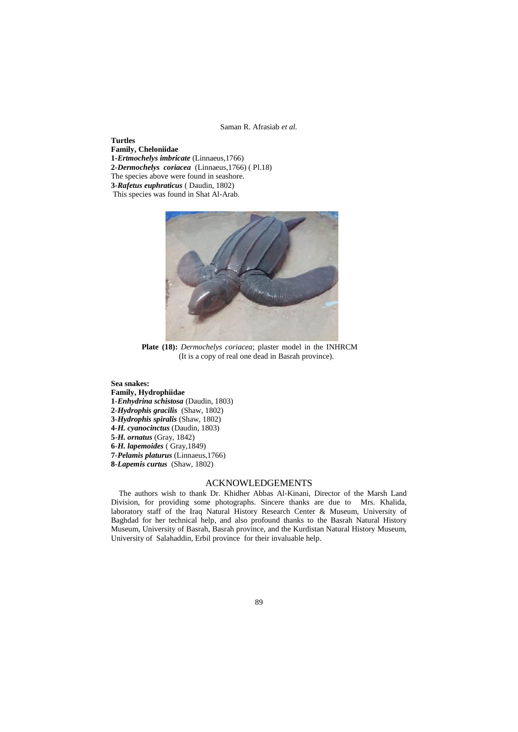**Turtles Family, Cheloniidae 1-***Ertmochelys imbricate* (Linnaeus,1766) **2-***Dermochelys coriacea* (Linnaeus,1766) ( Pl.18) The species above were found in seashore. **3-***Rafetus euphraticus* ( Daudin, 1802) This species was found in Shat Al-Arab.



**Plate (18):** *Dermochelys coriacea*; plaster model in the INHRCM (It is a copy of real one dead in Basrah province).

**Sea snakes: Family, Hydrophiidae** -*Enhydrina schistosa* (Daudin, 1803) -*Hydrophis gracilis* (Shaw, 1802) -*Hydrophis spiralis* (Shaw, 1802) -*H. cyanocinctus* (Daudin, 1803) -*H. ornatus* (Gray, 1842) -*H. lapemoides* ( Gray,1849) -*Pelamis platurus* (Linnaeus,1766) -*Lapemis curtus* (Shaw, 1802)

# ACKNOWLEDGEMENTS

 The authors wish to thank Dr. Khidher Abbas Al-Kinani, Director of the Marsh Land Division, for providing some photographs. Sincere thanks are due to Mrs. Khalida, laboratory staff of the Iraq Natural History Research Center & Museum, University of Baghdad for her technical help, and also profound thanks to the Basrah Natural History Museum, University of Basrah, Basrah province, and the Kurdistan Natural History Museum, University of Salahaddin, Erbil province for their invaluable help.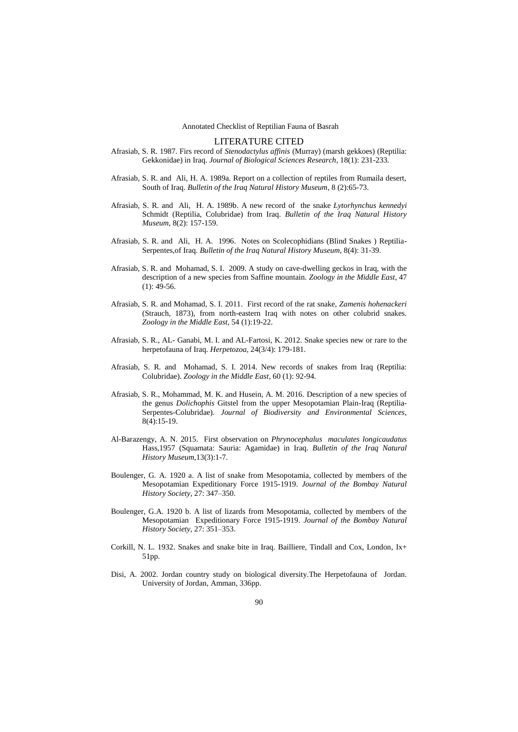## LITERATURE CITED

- Afrasiab, S. R. 1987. Firs record of *Stenodactylus affinis* (Murray) (marsh gekkoes) (Reptilia: Gekkonidae) in Iraq. *Journal of Biological Sciences Research*, 18(1): 231-233.
- Afrasiab, S. R. and Ali, H. A. 1989a. Report on a collection of reptiles from Rumaila desert, South of Iraq. *Bulletin of the Iraq Natural History Museum*, 8 (2):65-73.
- Afrasiab, S. R. and Ali, H. A. 1989b. A new record of the snake *Lytorhynchus kennedyi*  Schmidt (Reptilia, Colubridae) from Iraq. *Bulletin of the Iraq Natural History Museum*, 8(2): 157-159.
- Afrasiab, S. R. and Ali, H. A. 1996. Notes on Scolecophidians (Blind Snakes ) Reptilia-Serpentes,of Iraq. *Bulletin of the Iraq Natural History Museum*, 8(4): 31-39.
- Afrasiab, S. R. and Mohamad, S. I. 2009. A study on cave-dwelling geckos in Iraq, with the description of a new species from Saffine mountain. *Zoology in the Middle East*, 47  $(1): 49-56.$
- Afrasiab, S. R. and Mohamad, S. I. 2011. First record of the rat snake, *Zamenis hohenackeri* (Strauch, 1873), from north-eastern Iraq with notes on other colubrid snakes. *Zoology in the Middle East*, 54 (1):19-22.
- Afrasiab, S. R., AL- Ganabi, M. I. and AL-Fartosi, K. 2012. Snake species new or rare to the herpetofauna of Iraq. *Herpetozoa*, 24(3/4): 179-181.
- Afrasiab, S. R. and Mohamad, S. I. 2014. New records of snakes from Iraq (Reptilia: Colubridae). *Zoology in the Middle East*, 60 (1): 92-94.
- Afrasiab, S. R., Mohammad, M. K. and Husein, A. M. 2016. Description of a new species of the genus *Dolichophis* Gitstel from the upper Mesopotamian Plain-Iraq (Reptilia-Serpentes-Colubridae)*. Journal of Biodiversity and Environmental Sciences*, 8(4):15-19.
- Al-Barazengy, A. N. 2015. First observation on *Phrynocephalus maculates longicaudatus*  Hass,1957 (Squamata: Sauria: Agamidae) in Iraq. *Bulletin of the Iraq Natural History Museum*,13(3):1-7.
- Boulenger, G. A. 1920 a. A list of snake from Mesopotamia, collected by members of the Mesopotamian Expeditionary Force 1915-1919. *Journal of the Bombay Natural History Society*, 27: 347–350.
- Boulenger, G.A. 1920 b. A list of lizards from Mesopotamia, collected by members of the Mesopotamian Expeditionary Force 1915-1919. *Journal of the Bombay Natural History Society,* 27: 351–353.
- Corkill, N. L. 1932. Snakes and snake bite in Iraq. Bailliere, Tindall and Cox, London, Ix+ 51pp.
- Disi, A. 2002. Jordan country study on biological diversity.The Herpetofauna of Jordan. University of Jordan, Amman, 336pp.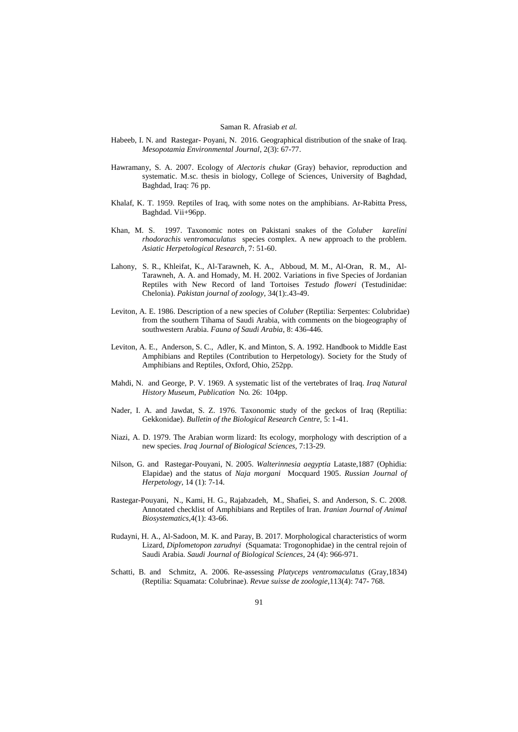- Habeeb, I. N. and Rastegar- Poyani, N. 2016. Geographical distribution of the snake of Iraq. *Mesopotamia Environmental Journal*, 2(3): 67-77.
- Hawramany, S. A. 2007. Ecology of *Alectoris chukar* (Gray) behavior, reproduction and systematic. M.sc. thesis in biology, College of Sciences, University of Baghdad, Baghdad, Iraq: 76 pp.
- Khalaf, K. T. 1959. Reptiles of Iraq, with some notes on the amphibians. Ar-Rabitta Press, Baghdad. Vii+96pp.
- Khan, M. S. 1997. Taxonomic notes on Pakistani snakes of the *Coluber karelini rhodorachis ventromaculatus* species complex. A new approach to the problem. *Asiatic Herpetological Research*, 7: 51-60.
- Lahony, S. R., Khleifat, K., Al-Tarawneh, K. A., Abboud, M. M., Al-Oran, R. M., Al-Tarawneh, A. A. and Homady, M. H. 2002. Variations in five Species of Jordanian Reptiles with New Record of land Tortoises *Testudo floweri* (Testudinidae: Chelonia). *Pakistan journal of zoology*, 34(1):.43-49.
- Leviton, A. E. 1986. Description of a new species of *Coluber* (Reptilia: Serpentes: Colubridae) from the southern Tihama of Saudi Arabia, with comments on the biogeography of southwestern Arabia. *Fauna of Saudi Arabia*, 8: 436-446.
- Leviton, A. E., Anderson, S. C., Adler, K. and Minton, S. A. 1992. Handbook to Middle East Amphibians and Reptiles (Contribution to Herpetology). Society for the Study of Amphibians and Reptiles, Oxford, Ohio, 252pp.
- Mahdi, N. and George, P. V. 1969. A systematic list of the vertebrates of Iraq. *Iraq Natural History Museum*, *Publication* No*.* 26: 104pp.
- Nader, I. A. and Jawdat, S. Z. 1976. Taxonomic study of the geckos of Iraq (Reptilia: Gekkonidae). *Bulletin of the Biological Research Centre,* 5: 1-41.
- Niazi, A. D. 1979. The Arabian worm lizard: Its ecology, morphology with description of a new species. *Iraq Journal of Biological Sciences,* 7:13-29.
- Nilson, G. and Rastegar-Pouyani, N. 2005. *Walterinnesia aegyptia* Lataste,1887 (Ophidia: Elapidae) and the status of *Naja morgani* Mocquard 1905. *Russian Journal of Herpetology*, 14 (1): 7-14.
- Rastegar-Pouyani, N., Kami, H. G., Rajabzadeh, M., Shafiei, S. and Anderson, S. C. 2008. Annotated checklist of Amphibians and Reptiles of Iran. *Iranian Journal of Animal Biosystematics*,4(1): 43-66.
- Rudayni, H. A., Al-Sadoon, M. K. and Paray, B. 2017. Morphological characteristics of worm Lizard, *Diplometopon zarudnyi* (Squamata: Trogonophidae) in the central rejoin of Saudi Arabia. *Saudi Journal of Biological Sciences*, 24 (4): 966-971.
- Schatti, B. and Schmitz, A. 2006. Re-assessing *Platyceps ventromaculatus* (Gray,1834) (Reptilia: Squamata: Colubrinae). *Revue suisse de zoologie*,113(4): 747- 768.